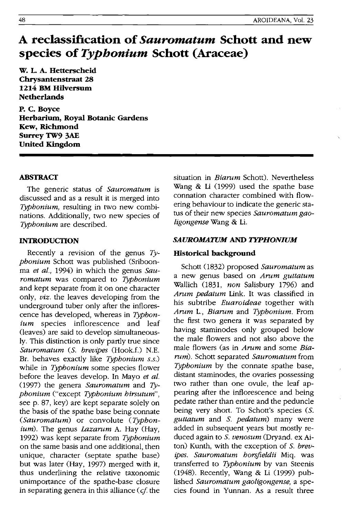# **A reclassification of** *Sauromatum* **Schott and new species of** *Typhonium* **Schott (Araceae)**

w. L. A. Hetterscheid Chrysantenstraat 28 1214 BM Hilversum **Netherlands** 

P. C. Boyce Herbarium, Royal Botanic Gardens Kew, Richmond Surrey TW9 3AE United Kingdom

## ABSTRACT

The generic status of *Sauromatum* is discussed and as a result it is merged into *Typhonium,* resulting in two new combinations. Additionally, two new species of *Typhonium* are described.

## INTRODUCTION

Recently a revision of the genus *Typhonium* Schott was published (Sriboonma *et al.*, 1994) in which the genus Sau*romatum* was compared to *Typhonium*  and kept separate from it on one character only, *viz.* the leaves developing from the underground tuber only after the inflorescence has developed, whereas in *Typhonium* species inflorescence and leaf (leaves) are said to develop simultaneously. This distinction is only partly true since *Sauromatum (S. brevipes (Hook.f.) N.E.* Br. behaves exactly like *Typhonium s.s.)*  while in *Typhonium* some species flower before the leaves develop. In Mayo *et at.*  (1997) the genera *Sauromatum* and *Typhonium* ("except *Typhonium hirsutum"* , see p. 87, key) are kept separate solely on the basis of the spathe base being connate *(Sauromatum)* or convolute *(Typhonium).* The genus *Lazarum* A. Hay (Hay, 1992) was kept separate from *Typhonium*  on the same basis and one additional, then unique, character (septate spathe base) but was later (Hay, 1997) merged with it, thus underlining the relative taxonomic unimportance of the spathe-base closure in separating genera in this alliance (cf. the situation in *Biarum* Schott). Nevertheless Wang & Li (1999) used the spathe base connation character combined with flowering behaviour to indicate the generic status of their new species *Sauromatum gaoligongense* Wang & Li.

#### **SAUROMATUM AND TYPHONIUM**

### Historical background

Schott (1832) proposed *Sauromatum* as a new genus based on *Arum guttatum*  Wallich (1831, *non* Salisbury 1796) and *Arum pedatum* Link. It was classified in his subtribe *Euaroideae* together with *Arum* L., *Biarum* and *Typhonium.* From the first two genera it was separated by having staminodes only grouped below the male flowers and not also above the male flowers (as in *Arum* and some *Biarum).* Schott separated *Sauromatum* from *Typhonium* by the connate spathe base, distant staminodes, the ovaries possessing two rather than one ovule, the leaf appearing after the inflorescence and being pedate rather than entire and the peduncle being very short. To Schott's species (S. *guttatum* and S. *pedatum)* many were added in subsequent years but mostly reduced again to S. *venosum* (Dryand. ex Aiton) Kunth, with the exception of S. *brevipes. Sauromatum horsfieidii* Miq. was transferred to *Typhonium* by van Steenis (1948). Recently, Wang & Li (1999) published *Sauromatum gaoligongense,* a species found in Yunnan. As a result three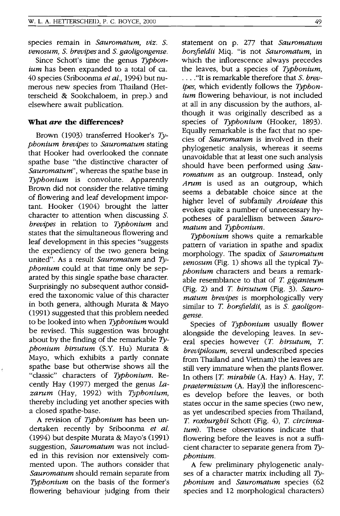species remain in *Sauromatum, viz.* S. *venosum,* S. *brevipes* and S. *gaoligongense.* 

Since Schott's time the genus *Typhonium* has been expanded to a total of ca. 40 species (Sriboonma *et al.,* 1994) but numerous new species from Thailand (Hetterscheid & Sookchaloem, in prep.) and elsewhere await publication.

### **What** *are* **the differences?**

Brown (903) transferred Hooker's *Typhonium brevipes* to *Sauromatum* stating that Hooker had overlooked the connate spathe base "the distinctive character of *Sauromatum",* whereas the spathe base in *Typhonium* is convolute. Apparently Brown did not consider the relative timing of flowering and leaf development important. Hooker (1904) brought the latter character to attention when discussing S. *brevipes* in relation to *Typhonium* and states that the simultaneous flowering and leaf development in this species "suggests the expediency of the two genera being united". As a result *Sauromatum* and *Typhonium* could at that time only be separated by this single spathe base character. Surprisingly no subsequent author considered the taxonomic value of this character in both genera, although Murata & Mayo (991) suggested that this problem needed to be looked into when *Typhonium* would be revised. This suggestion was brought about by the finding of the remarkable *Typhonium hirsutum* (S.Y. Hu) Murata & Mayo, which exhibits a partly connate spathe base but otherwise shows all the "classic" characters of *Typhonium.* Recently Hay (1997) merged the genus  $La$ *zarum* (Hay, 1992) with *Typhonium,*  thereby including yet another species with a closed spathe-base.

A revision of *Typhonium* has been undertaken recently by Sriboonma *et al.*  (994) but despite Murata & Mayo's (1991) suggestion, *Sauromatum* was not included in this revision nor extensively commented upon. The authors consider that *Sauromatum* should remain separate from *Typhonium* on the basis of the former's flowering behaviour judging from their statement on p. 277 that *Sauromatum horsfieldii* Miq. "is not *Sauromatum,* in which the inflorescence always precedes the leaves, but a species of *Typhonium,*  . ... "It is remarkable therefore that S. *brevipes,* which evidently follows the *Typhonium* flowering behaviour, is not included at all in any discussion by the authors, although it was originally described as a species of *Typhonium* (Hooker, 1893). Equally remarkable is the fact that no species of *Sauromatum* is involved in their phylogenetic analysis, whereas it seems unavoidable that at least one such analysis should have been performed using *Sauromatum* as an outgroup. Instead, only *Arum* is used as an outgroup, which seems a debatable choice since at the higher level of subfamily *Aroideae* this evokes quite a number of unnecessary hypotheses of paralellism between *Sauromatum* and *Typhonium.* 

*Typhonium* shows quite a remarkable pattern of variation in spathe and spadix morphology. The spadix of *Sauromatum venosum* (Fig. 1) shows all the typical  $T_{\gamma}$ *phonium* characters and bears a remarkable resemblance to that of *T giganteum*  (Fig. 2) and T *hirsutum* (Fig. 3). *Sauromatum brevipes* is morphologically very similar to T. borsfieldii, as is S. gaoligon*gense.* 

Species of *Typhonium* usually flower alongside the developing leaves. In several species however (T *hirsutum,* T *brevipilosum,* several undescribed species from Thailand and Vietnam) the leaves are still very immature when the plants flower. In others [T. *mirabile* (A. Hay) A. Hay, T. *praetermissum* (A. Hay)] the inflorescences develop before the leaves, or both states occur in the same species (two new, as yet undescribed species from Thailand, T *roxburghii* Schott (Fig. 4), T *circinnatum).* These observations indicate that flowering before the leaves is not a sufficient character to separate genera from *Typhonium.* 

A few preliminary phylogenetic analyses of a character matrix including all *Typhonium* and *Sauromatum* species (62 species and 12 morphological characters)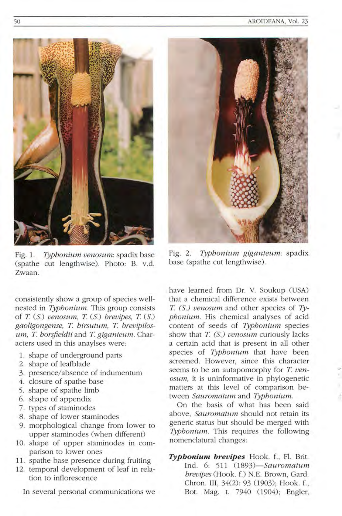

Fig. 1. *Typhonium venosum:* spadix base (spathe cut lengthwise). Photo: B. v.d. Zwaan.

consistently show a group of species wellnested in *Typhonium*. This group consists of *T*. (S.) *venosum*, *T.* (S.) *brevipes*, *T.* (S.) *gaoligongense, T hirsutum, T brevipilos* $um, T.$  *horsfieldii* and *T. giganteum.* Characters used in this anaylses were:

- 1. shape of underground parts
- 2. shape of leafblade
- 3. presence/ absence of indumentum
- 4. closure of spathe base
- 5. shape of spathe limb
- 6. shape of appendix
- 7. types of staminodes
- 8. shape of lower staminodes
- 9. morphological change from lower to upper staminodes (when different)
- 10. shape of upper staminodes in comparison to lower ones
- 11. spathe base presence during fruiting
- 12. temporal development of leaf in relation to inflorescence

In several personal communications we



Fig. 2. *Typhonium giganteum:* spadix base (spathe cut lengthwise).

have learned from Dr. V. Soukup (USA) that a chemical difference exists between *T (S.) venosum* and other species of *Typhonium*. His chemical analyses of acid content of seeds of *Typhonium* species show that *T. (S.) venosum* curiously lacks a certain acid that is present in all other species of *Typhonium* that have been screened. However, since this character seems to be an autapomorphy for *T. venosum,* it is uninformative in phylogenetic matters at this level of comparison between *Sauromatum* and *Typhonium.* 

On the basis of what has been said above, *Sauromatum* should not retain its generic status but should be merged with *Typhonium*. This requires the following nomenclatural changes:

Typhonium brevipes Hook. f., Fl. Brit. Ind. 6: 511 *(1893)-Sauromatum brevi pes* (Hook. f.) N.E. Brown, Gard. Chron. III, 34(2): 93 (1903); Hook. f., Bot. Mag. t. 7940 (1904); Engler,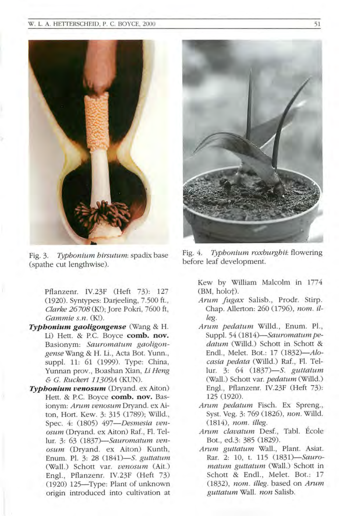#### W. L. A. HETTERSCHEID, P. C. BOYCE, 2000



Fig. 3. *Typhonium hirsutum:* spadix base (spathe cut lengthwise).

Pflanzenr. IV.23F (Heft 73): 127 (1920). Syntypes: Darjeeling, 7.500 ft. , *Clarke 26708* (K!); Jore Pokri, 7600 ft, Gammie s.n. (K!).

- *Typhonium gaoligongense* (Wang & H. Li) Hett. & P.C. Boyce **comb. nov.** Basionym: *Sauromatum gaoligongenseWang* & H. Li. , Acta Bot. Yunn. , suppl. 11: 61 (1999). Type: China, Yunnan prov. , Boashan Xian, *Li Heng*  & *C. Ruckert 11309A* (KUN).
- *Typhonium venosum* (Dryand. ex Aiton) Hett. & P.C. Boyce **comb. nov.** Basionym: *Arum venosum* Dryand. ex Aiton, Hort. Kew. 3: 315 (1789); Willd, Spec. 4: (1805) *497- Desmesia venosum* (Dryand. ex Aiton) Raf., Fl. Tellur. 3: 63 *(1837)- Sauromatum venosum* (Dryand. ex Aiton) Kunth, Enum. Pl 3: 28 *(1841)- S. guttatum*  (Wa ll.) Schott var. *venosum* (Ait.) Engl., Pflanzenr. IV.23F (Heft 73) (1920) 125-Type: Plant of unknown origin introduced into cultivation at



Fig. 4. *Typhonium roxburghii*: flowering before leaf development.

Kew by William Malcolm in 1774 (BM, holot).

- *Arum fugax* Salisb., Prodr. Stirp. Chap. Allerton: 260 (1796), *nom. illeg .*
- *Arum pedatum Willd.*, Enum. Pl., Suppl. 54 (1814)-Sauromatum pe*datum* (Willd.) Schott in Schott & Endl., Melet. Bot.: 17 (1832)-*Alo*casia pedata (Willd.) Raf., Fl. Tellur. 3: 64 *(1837)- S. guttatum*  (Wall.) Schott var. *pedatum* (Willd.) Engl., Pflanzenr. IV.23F (Heft 73): 125 (1920).
- *Arum pedatum* Fisch. Ex Spreng. , Syst. Yeg. 3: 769 (1826), *non.* Willd . *(1814), nom. illeg.*
- *Arum clavatum Desf., Tabl. Ecole* Bot., ed.3: 385 (1829).
- *Arum guttatum* Wall, Plant. Asiat. Rar. 2: 10, t. 115 *(1831)- Sauromatum guttatum* (Wall.) Schott in Schott & Endl., Melet. Bot.: 17 *(1832), nom. illeg.* based on *Amm guttatum* Wall *non* Salisb.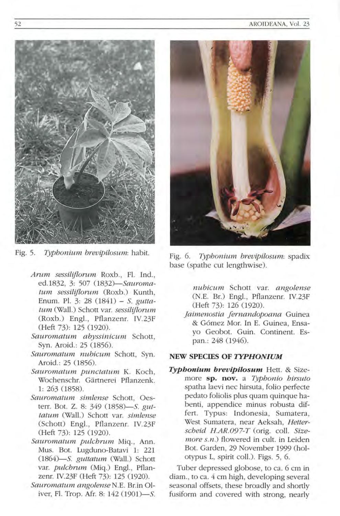

Fig. 5. *Typhonium brevipilosum:* habit.

- *Arum sessiliflorum* Roxb., Fl. Ind., ed .1832, 3: 507 *(1 832)- Sauramatum sessiliflorum* (Roxb.) Kunth, Enum. PI. 3: 28 (1841) - S. *guttatum* (Wall .) Schott var. *sessiliflorum*  (Roxb.) Engl., Pflanzenr. IV.23F (Heft 73): 125 (1920)
- *Sau romatum a byssin icum* Schott, Syn. Aroid .: 25 (1856).
- *Sauramatw n n u bicum* Schott, Syn. Aroid .: 25 (1856).
- *Saurama /um puncta tum* K. Koch, Wochenschr. Gärtnerei Pflanzenk. 1: 263 (1858)
- *Sauramatum simlense* Schott, Oeste rr. Bot. Z. 8: 349 *(1858)- S. guttatum* (Wall.) Schott var. *simlense*  (Schott) Engl., Pflanzenr. IV.23F (Heft 73): 125 (1920).
- *Sauromatw n pulchrum* Miq. , Ann. Mus. Bot. Lugduno-Batavi 1: 221 *(1 864)- 5. guttatum* (Wall.) Schott var. *pulchrum* (Miq.) Engl., Pflanzenr. *N. 23F* (Heft 73): 125 (1920)
- *Sauramatum cmgolense* N.E. Br.in Oliver, Fl. Trop. Afr. 8: 142 (1901)—S.



Fig. 6. *Typhonium brevipilosum:* spadix base (spathe cut lengthwise).

 $nubicum$  Schott var. *angolense* (N.E. Br.) Engl., Pflanzenr. IV.23F (Heft 73): 126 (1920).

*j aimenostia Jernandop oana* Guinea & Gómez Mor. In E. Guinea, Ensayo Geobot. Guin. Continent. Espan.: 248 (1946).

## **NEW SPECIES OF** *TYPHON/UM*

**Typhonium brevipilosum** Hett. & Sizemore **sp. nov.** a *Typhonio hirsuto*  spatha laevi nec hirsuta, folio perfecte pedato foliolis plus quam quinque habenti, appendice minus robusta differt. Typus: Indonesia, Sumatera, West Sumatera, near Aeksah, *Hetter*scheid *H.AR.097-T* (orig. coll. Size*more s.n.*) flowered in cult. in Leiden Bot. Garden, 29 November 1999 (holotypus L, spirit eoll.). Figs. 5, 6.

Tuber depressed globose, to ca . 6 em in diam., to ca. 4 cm high, developing several seasonal offsets, these broadly and shortly fusiform and covered with strong, nearly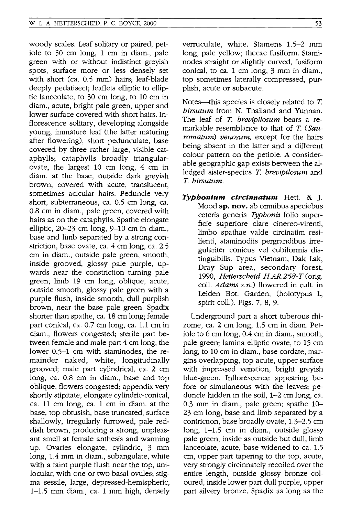woody scales. Leaf solitary or paired; petiole to 50 cm long, 1 cm in diam., pale green with or without indistinct greyish spots, surface more or less densely set with short (ca. 0.5 mm) hairs; leaf-blade deeply pedatisect; leaflets elliptic to elliptic lanceolate, to 30 cm long, to 10 cm in' diam., acute, bright pale green, upper and lower surface covered with short hairs. Inflorescence solitary, developing alongside young, immature leaf (the latter maturing after flowering), short pedunculate, base covered by three rather large, visible cataphylls; cataphylls broadly triangularovate, the largest 10 cm long, 4 cm in diam. at the base, outside dark greyish brown, covered with acute, translucent, sometimes acicular hairs. Peduncle very short, subterraneous, ca. 0.5 cm long, ca. 0.8 cm in diam., pale green, covered with hairs as on the cataphylls. Spathe elongate elliptic, 20-23 cm long, 9-10 cm in diam., base and limb separated by a strong constriction, base ovate, ca. 4 cm long, ca. 2.5 cm in diam., outside pale green, smooth, inside grooved, glossy pale purple, upwards near the constriction turning pale green; limb 19 cm long, oblique, acute, outside smooth, glossy pale green with a purple flush, inside smooth, dull purplish brown, near the base pale green. Spadix shorter than spathe, ca. 18 cm long; female part conical, ca. 0.7 cm long, ca. 1.1 cm in diam., flowers congested; sterile part between female and male part 4 cm long, the lower 0.5-1 cm with staminodes, the remainder naked, white, longitudinally grooved; male part cylindrical, ca. 2 cm long, ca. 0.8 cm in diam., base and top oblique, flowers congested; appendix very shortly stipitate, elongate cylindric-conical, ca. 11 cm long, ca. 1 cm in diam. at the base, top obtusish, base truncated, surface shallowly, irregularly furrowed, pale reddish brown, producing a strong, unpleasant smell at female anthesis and warming up. Ovaries elongate, cylindric, 3 mm long, 1.4 mm in diam., subangulate, white with a faint purple flush near the top, unilocular, with one or two basal ovules; stigma sessile, large, depressed-hemispheric, 1-1.5 mm diam., ca. 1 mm high, densely verruculate, white. Stamens 1.5-2 mm long, pale yellow; thecae fusiform. Staminodes straight or slightly curved, fusiform conical, to ca. 1 cm long, 3 mm in diam., top sometimes laterally compressed, purplish, acute or subacute.

Notes-this species is closely related to  $T$ . *hirsutum* from N. Thailand and Yunnan. The leaf of T. *brevipilosum* bears a remarkable resemblance to that of T. *(Sauromatum) venosum,* except for the hairs being absent in the latter and a different colour pattern on the petiole. A considerable geographic gap exists between the alledged sister-species T. *brevipilosum* and T. *hirsutum.* 

*Typbonium circinnatum* Hett. & ]. Mood **sp. nov.** ab omnibus speciebus ceteris generis *Typhonii* folio superficie superiore clare cinereo-virenti, limbo spathae valde circinatim resilienti, staminodiis pergrandibus irregulariter conicus vel cubiformis distinguibilis. Typus Vietnam, Dak Lak, Dray Sup area, secondary forest, *1990, Hetterscheid H.AR.258-T* (orig. call. *Adams s.n.)* flowered in cult. in Leiden Bot. Garden, (holotypus L, spirit call.). Figs. 7, 8, 9.

Underground part a short tuberous rhizome, ca. 2 cm long, 1.5 cm in diam. Petiole to 6 cm long, 0.4 cm in diam., smooth, pale green; lamina elliptic ovate, to 15 cm long, to 10 cm in diam., base cordate, margins overlapping, top acute, upper surface with impressed venation, bright greyish blue-green. Inflorescence appearing before or simulaneous with the leaves; peduncle hidden in the soil, 1-2 cm long, ca. 0.3 mm in diam., pale green; spathe 10- 23 cm long, base and limb separated by a contriction, base broadly ovate, 1.3-2.5 cm long, 1-1.5 cm in diam., outside glossy pale green, inside as outside but dull, limb lanceolate, acute, base widened to ca. 1.5 cm, upper part tapering to the top, acute, very strongly circinnately recoiled over the entire length, outside glossy bronze coloured, inside lower part dull purple, upper part silvery bronze. Spadix as long as the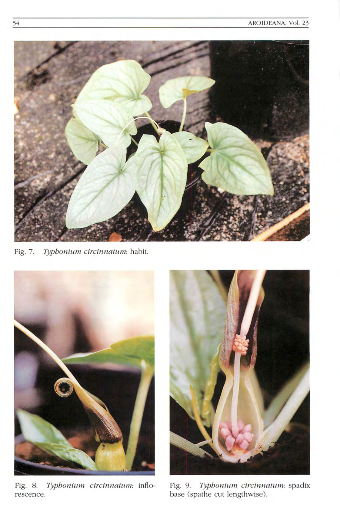

Fig. 7. *Typhonium circinnatum:* habit.



Fig. 8. *Typhonium circinnatum:* inflorescence.



Fig. 9. *Typhonium circinnatum:* spadix base (spathe cut lengthwise).